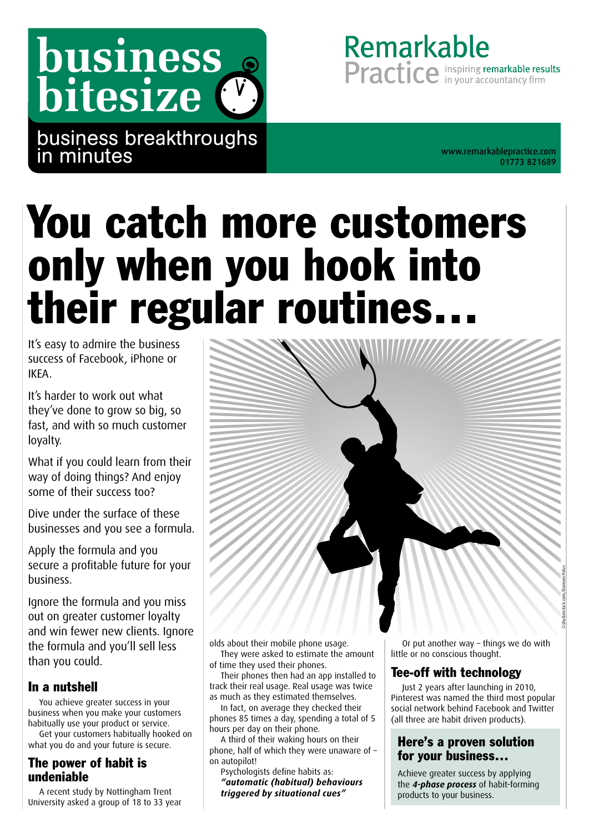# business bitesize (

business breakthroughs in minutes

01773 821689

Remarkable

**Practice** in your accountancy firm

## You catch more customers only when you hook into their regular routines…

It's easy to admire the business success of Facebook, iPhone or IKEA.

It's harder to work out what they've done to grow so big, so fast, and with so much customer loyalty.

What if you could learn from their way of doing things? And enjoy some of their success too?

Dive under the surface of these businesses and you see a formula.

Apply the formula and you secure a profitable future for your business.

Ignore the formula and you miss out on greater customer loyalty and win fewer new clients. Ignore the formula and you'll sell less than you could.

## In a nutshell

You achieve greater success in your business when you make your customers habitually use your product or service.

Get your customers habitually hooked on what you do and your future is secure.

## The power of habit is undeniable

A recent study by Nottingham Trent University asked a group of 18 to 33 year olds about their mobile phone usage. They were asked to estimate the amount

of time they used their phones.

Their phones then had an app installed to track their real usage. Real usage was twice as much as they estimated themselves.

In fact, on average they checked their phones 85 times a day, spending a total of 5 hours per day on their phone.

A third of their waking hours on their phone, half of which they were unaware of – on autopilot!

Psychologists define habits as: *"automatic (habitual) behaviours triggered by situational cues"*

Or put another way – things we do with little or no conscious thought.

©shutterstock.com/Damien Palus

## Tee-off with technology

Just 2 years after launching in 2010, Pinterest was named the third most popular social network behind Facebook and Twitter (all three are habit driven products).

## Here's a proven solution for your business…

Achieve greater success by applying the *4-phase process* of habit-forming products to your business.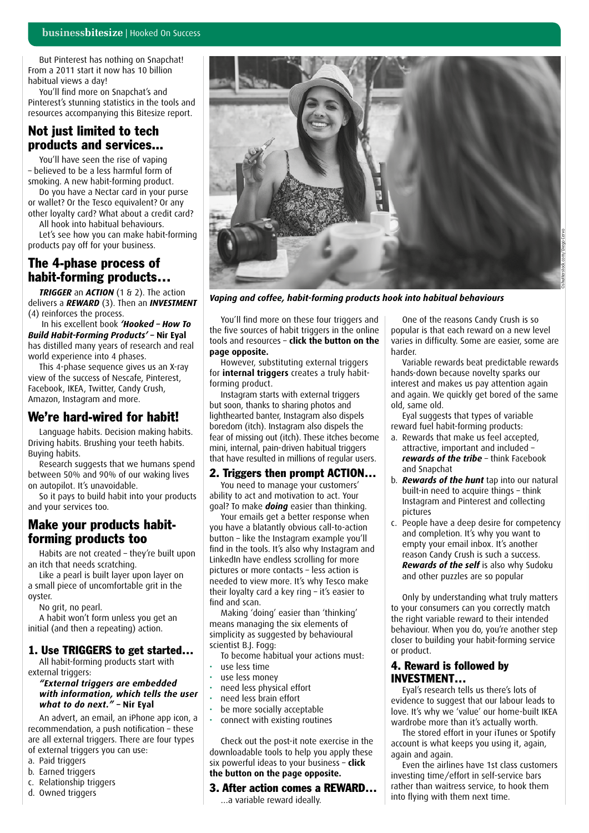But Pinterest has nothing on Snapchat! From a 2011 start it now has 10 billion habitual views a day!

You'll find more on Snapchat's and Pinterest's stunning statistics in the tools and resources accompanying this Bitesize report.

## Not just limited to tech products and services...

You'll have seen the rise of vaping – believed to be a less harmful form of smoking. A new habit-forming product.

Do you have a Nectar card in your purse or wallet? Or the Tesco equivalent? Or any other loyalty card? What about a credit card?

All hook into habitual behaviours.

Let's see how you can make habit-forming products pay off for your business.

## The 4-phase process of habit-forming products…

*TRIGGER* an *ACTION* (1 & 2). The action delivers a *REWARD* (3). Then an *INVESTMENT* (4) reinforces the process.

 In his excellent book *'Hooked – How To Build Habit-Forming Products'* **– Nir Eyal**  has distilled many years of research and real world experience into 4 phases.

This 4-phase sequence gives us an X-ray view of the success of Nescafe, Pinterest, Facebook, IKEA, Twitter, Candy Crush, Amazon, Instagram and more.

## We're hard-wired for habit!

Language habits. Decision making habits. Driving habits. Brushing your teeth habits. Buying habits.

Research suggests that we humans spend between 50% and 90% of our waking lives on autopilot. It's unavoidable.

So it pays to build habit into your products and your services too.

## Make your products habitforming products too

Habits are not created – they're built upon an itch that needs scratching.

Like a pearl is built layer upon layer on a small piece of uncomfortable grit in the oyster.

No grit, no pearl.

A habit won't form unless you get an initial (and then a repeating) action.

#### 1. Use TRIGGERS to get started…

All habit-forming products start with external triggers:

#### *"External triggers are embedded with information, which tells the user what to do next." –* **Nir Eyal**

An advert, an email, an iPhone app icon, a recommendation, a push notification – these are all external triggers. There are four types of external triggers you can use:

- a. Paid triggers
- b. Earned triggers
- c. Relationship triggers
- d. Owned triggers



*Vaping and coffee, habit-forming products hook into habitual behaviours*

You'll find more on these four triggers and the five sources of habit triggers in the online tools and resources – **click the button on the page opposite.**

However, substituting external triggers for **internal triggers** creates a truly habitforming product.

Instagram starts with external triggers but soon, thanks to sharing photos and lighthearted banter, Instagram also dispels boredom (itch). Instagram also dispels the fear of missing out (itch). These itches become mini, internal, pain-driven habitual triggers that have resulted in millions of regular users.

#### 2. Triggers then prompt ACTION…

You need to manage your customers' ability to act and motivation to act. Your goal? To make *doing* easier than thinking.

Your emails get a better response when you have a blatantly obvious call-to-action button – like the Instagram example you'll find in the tools. It's also why Instagram and LinkedIn have endless scrolling for more pictures or more contacts – less action is needed to view more. It's why Tesco make their loyalty card a key ring – it's easier to find and scan.

Making 'doing' easier than 'thinking' means managing the six elements of simplicity as suggested by behavioural scientist B.J. Fogg:

To become habitual your actions must:

- use less time
- use less money
- need less physical effort
- need less brain effort
- be more socially acceptable
- connect with existing routines

Check out the post-it note exercise in the downloadable tools to help you apply these six powerful ideas to your business – **click the button on the page opposite.**

#### 3. After action comes a REWARD… …a variable reward ideally.

One of the reasons Candy Crush is so popular is that each reward on a new level varies in difficulty. Some are easier, some are harder.

Variable rewards beat predictable rewards hands-down because novelty sparks our interest and makes us pay attention again and again. We quickly get bored of the same old, same old.

Eyal suggests that types of variable reward fuel habit-forming products:

- a. Rewards that make us feel accepted, attractive, important and included – *rewards of the tribe* – think Facebook and Snapchat
- b. *Rewards of the hunt* tap into our natural built-in need to acquire things – think Instagram and Pinterest and collecting pictures
- c. People have a deep desire for competency and completion. It's why you want to empty your email inbox. It's another reason Candy Crush is such a success. *Rewards of the self* is also why Sudoku and other puzzles are so popular

Only by understanding what truly matters to your consumers can you correctly match the right variable reward to their intended behaviour. When you do, you're another step closer to building your habit-forming service or product.

#### 4. Reward is followed by INVESTMENT…

Eyal's research tells us there's lots of evidence to suggest that our labour leads to love. It's why we 'value' our home-built IKEA wardrobe more than it's actually worth.

The stored effort in your iTunes or Spotify account is what keeps you using it, again, again and again.

Even the airlines have 1st class customers investing time/effort in self-service bars rather than waitress service, to hook them into flying with them next time.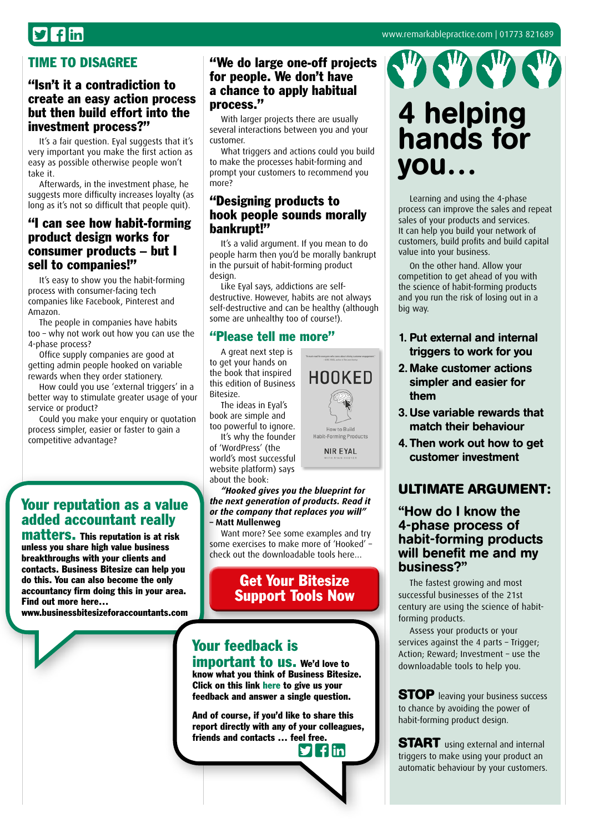## $\mathbf{I}$  flin

## TIME TO DISAGREE

## "Isn't it a contradiction to create an easy action process but then build effort into the investment process?"

It's a fair question. Eyal suggests that it's very important you make the first action as easy as possible otherwise people won't take it.

Afterwards, in the investment phase, he suggests more difficulty increases loyalty (as long as it's not so difficult that people quit).

## "I can see how habit-forming product design works for consumer products – but I sell to companies!"

It's easy to show you the habit-forming process with consumer-facing tech companies like Facebook, Pinterest and Amazon.

The people in companies have habits too – why not work out how you can use the 4-phase process?

Office supply companies are good at getting admin people hooked on variable rewards when they order stationery.

How could you use 'external triggers' in a better way to stimulate greater usage of your service or product?

Could you make your enquiry or quotation process simpler, easier or faster to gain a competitive advantage?

## Your reputation as a value added accountant really

matters. This reputation is at risk unless you share high value business breakthroughs with your clients and contacts. Business Bitesize can help you do this. You can also become the only accountancy firm doing this in your area. Find out more here…

[www.businessbitesizeforaccountants.com](http://www.businessbitesizeforaccountants.com)

#### "We do large one-off projects for people. We don't have a chance to apply habitual process."

With larger projects there are usually several interactions between you and your customer.

What triggers and actions could you build to make the processes habit-forming and prompt your customers to recommend you more?

## "Designing products to hook people sounds morally bankrupt!"

It's a valid argument. If you mean to do people harm then you'd be morally bankrupt in the pursuit of habit-forming product design.

Like Eyal says, addictions are selfdestructive. However, habits are not always self-destructive and can be healthy (although some are unhealthy too of course!).

## "Please tell me more"

A great next step is to get your hands on the book that inspired this edition of Business Bitesize.

The ideas in Eyal's book are simple and too powerful to ignore.

It's why the founder of 'WordPress' (the world's most successful website platform) says about the book:

*"Hooked gives you the blueprint for the next generation of products. Read it or the company that replaces you will"*  **– Matt Mullenweg**

Want more? See some examples and try some exercises to make more of 'Hooked' – check out the downloadable tools here…

## Get Your Bitesize [Support Tools Now](http://bit.ly/hookedtls)

## Your feedback is important to us. We'd love to

know what you think of Business Bitesize. Click on this link [here](https://www.surveymonkey.com/s/BusinessBitesize) to give us your feedback and answer a single question.

And of course, if you'd like to share this report directly with any of your colleagues, friends and contacts … f[eel fr](http://twitter.com/intent/tweet?text=Check%20out%20this%20library%20of%20great%20business%20insights%20http://www.businessbitesize.com/remarkable_practice)[ee.](http://www.facebook.com/sharer/sharer.phpu=http://www.businessbitesize.com/remarkable_practice) **flin** 



4 helping hands for you… Learning and using the 4-phase

process can improve the sales and repeat sales of your products and services. It can help you build your network of customers, build profits and build capital value into your business.

On the other hand. Allow your competition to get ahead of you with the science of habit-forming products and you run the risk of losing out in a big way.

- 1. Put external and internal triggers to work for you
- 2. Make customer actions simpler and easier for them
- 3.Use variable rewards that match their behaviour
- 4. Then work out how to get customer investment

## **ULTIMATE ARGUMENT:**

### "How do I know the 4-phase process of habit-forming products will benefit me and my business?"

The fastest growing and most successful businesses of the 21st century are using the science of habitforming products.

Assess your products or your services against the 4 parts – Trigger; Action; Reward; Investment – use the downloadable tools to help you.

**STOP** leaving your business success to chance by avoiding the power of habit-forming product design.

**START** using external and internal triggers to make using your product an automatic behaviour by your customers.